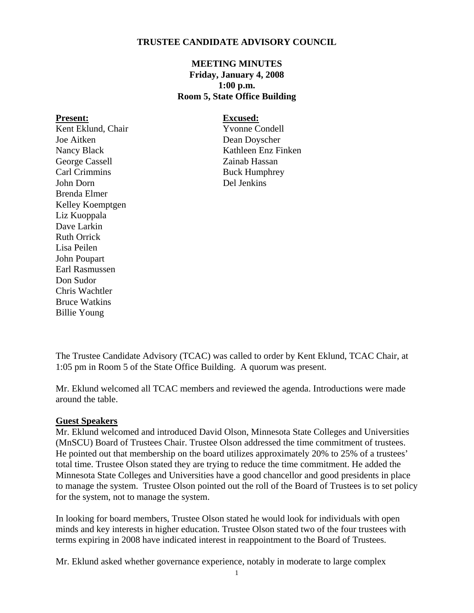### **TRUSTEE CANDIDATE ADVISORY COUNCIL**

### **MEETING MINUTES Friday, January 4, 2008 1:00 p.m. Room 5, State Office Building**

#### **Present: Excused:**

Kent Eklund, Chair Yvonne Condell Joe Aitken Dean Doyscher George Cassell Zainab Hassan<br>Carl Crimmins Buck Humnhre John Dorn Del Jenkins Brenda Elmer Kelley Koemptgen Liz Kuoppala Dave Larkin Ruth Orrick Lisa Peilen John Poupart Earl Rasmussen Don Sudor Chris Wachtler Bruce Watkins Billie Young

Nancy Black Kathleen Enz Finken **Buck Humphrey** 

The Trustee Candidate Advisory (TCAC) was called to order by Kent Eklund, TCAC Chair, at 1:05 pm in Room 5 of the State Office Building. A quorum was present.

Mr. Eklund welcomed all TCAC members and reviewed the agenda. Introductions were made around the table.

### **Guest Speakers**

Mr. Eklund welcomed and introduced David Olson, Minnesota State Colleges and Universities (MnSCU) Board of Trustees Chair. Trustee Olson addressed the time commitment of trustees. He pointed out that membership on the board utilizes approximately 20% to 25% of a trustees' total time. Trustee Olson stated they are trying to reduce the time commitment. He added the Minnesota State Colleges and Universities have a good chancellor and good presidents in place to manage the system. Trustee Olson pointed out the roll of the Board of Trustees is to set policy for the system, not to manage the system.

In looking for board members, Trustee Olson stated he would look for individuals with open minds and key interests in higher education. Trustee Olson stated two of the four trustees with terms expiring in 2008 have indicated interest in reappointment to the Board of Trustees.

Mr. Eklund asked whether governance experience, notably in moderate to large complex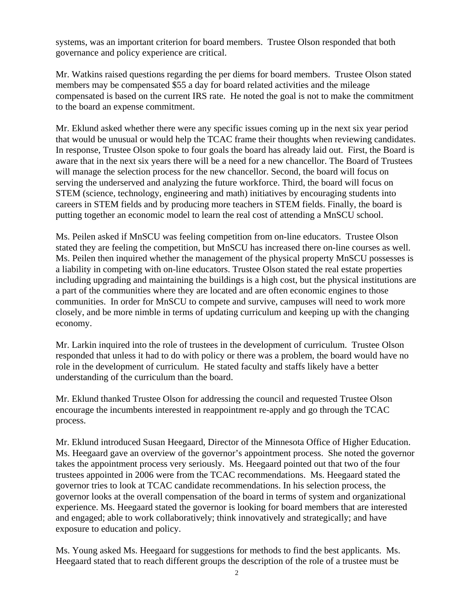systems, was an important criterion for board members. Trustee Olson responded that both governance and policy experience are critical.

Mr. Watkins raised questions regarding the per diems for board members. Trustee Olson stated members may be compensated \$55 a day for board related activities and the mileage compensated is based on the current IRS rate. He noted the goal is not to make the commitment to the board an expense commitment.

Mr. Eklund asked whether there were any specific issues coming up in the next six year period that would be unusual or would help the TCAC frame their thoughts when reviewing candidates. In response, Trustee Olson spoke to four goals the board has already laid out. First, the Board is aware that in the next six years there will be a need for a new chancellor. The Board of Trustees will manage the selection process for the new chancellor. Second, the board will focus on serving the underserved and analyzing the future workforce. Third, the board will focus on STEM (science, technology, engineering and math) initiatives by encouraging students into careers in STEM fields and by producing more teachers in STEM fields. Finally, the board is putting together an economic model to learn the real cost of attending a MnSCU school.

Ms. Peilen asked if MnSCU was feeling competition from on-line educators. Trustee Olson stated they are feeling the competition, but MnSCU has increased there on-line courses as well. Ms. Peilen then inquired whether the management of the physical property MnSCU possesses is a liability in competing with on-line educators. Trustee Olson stated the real estate properties including upgrading and maintaining the buildings is a high cost, but the physical institutions are a part of the communities where they are located and are often economic engines to those communities. In order for MnSCU to compete and survive, campuses will need to work more closely, and be more nimble in terms of updating curriculum and keeping up with the changing economy.

Mr. Larkin inquired into the role of trustees in the development of curriculum. Trustee Olson responded that unless it had to do with policy or there was a problem, the board would have no role in the development of curriculum. He stated faculty and staffs likely have a better understanding of the curriculum than the board.

Mr. Eklund thanked Trustee Olson for addressing the council and requested Trustee Olson encourage the incumbents interested in reappointment re-apply and go through the TCAC process.

Mr. Eklund introduced Susan Heegaard, Director of the Minnesota Office of Higher Education. Ms. Heegaard gave an overview of the governor's appointment process. She noted the governor takes the appointment process very seriously. Ms. Heegaard pointed out that two of the four trustees appointed in 2006 were from the TCAC recommendations. Ms. Heegaard stated the governor tries to look at TCAC candidate recommendations. In his selection process, the governor looks at the overall compensation of the board in terms of system and organizational experience. Ms. Heegaard stated the governor is looking for board members that are interested and engaged; able to work collaboratively; think innovatively and strategically; and have exposure to education and policy.

Ms. Young asked Ms. Heegaard for suggestions for methods to find the best applicants. Ms. Heegaard stated that to reach different groups the description of the role of a trustee must be